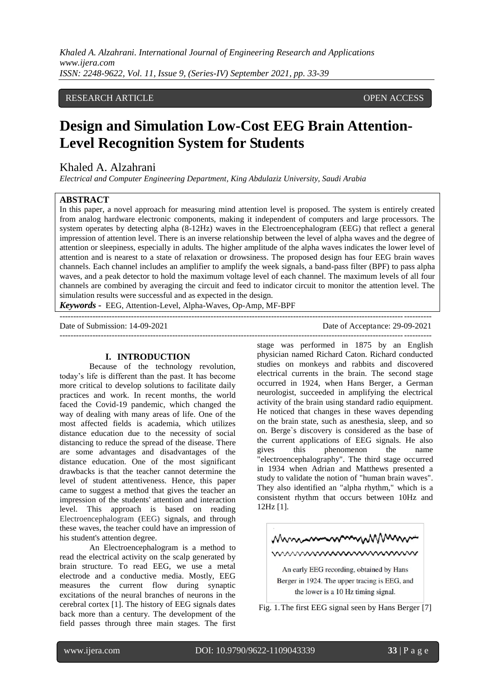*Khaled A. Alzahrani. International Journal of Engineering Research and Applications www.ijera.com ISSN: 2248-9622, Vol. 11, Issue 9, (Series-IV) September 2021, pp. 33-39*

# RESEARCH ARTICLE **OPEN ACCESS**

# **Design and Simulation Low-Cost EEG Brain Attention-Level Recognition System for Students**

# Khaled A. Alzahrani

*Electrical and Computer Engineering Department, King Abdulaziz University, Saudi Arabia*

## **ABSTRACT**

In this paper, a novel approach for measuring mind attention level is proposed. The system is entirely created from analog hardware electronic components, making it independent of computers and large processors. The system operates by detecting alpha (8-12Hz) waves in the Electroencephalogram (EEG) that reflect a general impression of attention level. There is an inverse relationship between the level of alpha waves and the degree of attention or sleepiness, especially in adults. The higher amplitude of the alpha waves indicates the lower level of attention and is nearest to a state of relaxation or drowsiness. The proposed design has four EEG brain waves channels. Each channel includes an amplifier to amplify the week signals, a band-pass filter (BPF) to pass alpha waves, and a peak detector to hold the maximum voltage level of each channel. The maximum levels of all four channels are combined by averaging the circuit and feed to indicator circuit to monitor the attention level. The simulation results were successful and as expected in the design.

*Keywords* **-** EEG, Attention-Level, Alpha-Waves, Op-Amp, MF-BPF ---------------------------------------------------------------------------------------------------------------------------------------

#### Date of Submission: 14-09-2021 Date of Acceptance: 29-09-2021

## **I. INTRODUCTION**

Because of the technology revolution, today's life is different than the past. It has become more critical to develop solutions to facilitate daily practices and work. In recent months, the world faced the Covid-19 pandemic, which changed the way of dealing with many areas of life. One of the most affected fields is academia, which utilizes distance education due to the necessity of social distancing to reduce the spread of the disease. There are some advantages and disadvantages of the distance education. One of the most significant drawbacks is that the teacher cannot determine the level of student attentiveness. Hence, this paper came to suggest a method that gives the teacher an impression of the students' attention and interaction level. This approach is based on reading Electroencephalogram (EEG) signals, and through these waves, the teacher could have an impression of his student's attention degree.

 An Electroencephalogram is a method to read the electrical activity on the scalp generated by brain structure. To read EEG, we use a metal electrode and a conductive media. Mostly, EEG measures the current flow during synaptic excitations of the neural branches of neurons in the cerebral cortex [1]. The history of EEG signals dates back more than a century. The development of the field passes through three main stages. The first

stage was performed in 1875 by an English physician named Richard Caton. Richard conducted studies on monkeys and rabbits and discovered electrical currents in the brain. The second stage occurred in 1924, when Hans Berger, a German neurologist, succeeded in amplifying the electrical activity of the brain using standard radio equipment. He noticed that changes in these waves depending on the brain state, such as anesthesia, sleep, and so on. Berge`s discovery is considered as the base of the current applications of EEG signals. He also gives this phenomenon the name "electroencephalography". The third stage occurred in 1934 when Adrian and Matthews presented a study to validate the notion of "human brain waves". They also identified an "alpha rhythm," which is a consistent rhythm that occurs between 10Hz and 12Hz [1].

---------------------------------------------------------------------------------------------------------------------------------------



Fig. 1.The first EEG signal seen by Hans Berger [7]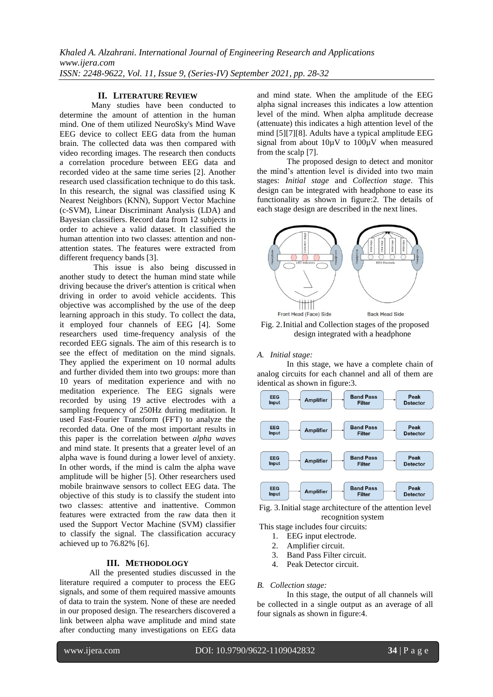# **II. LITERATURE REVIEW**

 Many studies have been conducted to determine the amount of attention in the human mind. One of them utilized NeuroSky's Mind Wave EEG device to collect EEG data from the human brain. The collected data was then compared with video recording images. The research then conducts a correlation procedure between EEG data and recorded video at the same time series [2]. Another research used classification technique to do this task. In this research, the signal was classified using K Nearest Neighbors (KNN), Support Vector Machine (c-SVM), Linear Discriminant Analysis (LDA) and Bayesian classifiers. Record data from 12 subjects in order to achieve a valid dataset. It classified the human attention into two classes: attention and nonattention states. The features were extracted from different frequency bands [3].

 This issue is also being discussed in another study to detect the human mind state while driving because the driver's attention is critical when driving in order to avoid vehicle accidents. This objective was accomplished by the use of the deep learning approach in this study. To collect the data, it employed four channels of EEG [4]. Some researchers used time-frequency analysis of the recorded EEG signals. The aim of this research is to see the effect of meditation on the mind signals. They applied the experiment on 10 normal adults and further divided them into two groups: more than 10 years of meditation experience and with no meditation experience. The EEG signals were recorded by using 19 active electrodes with a sampling frequency of 250Hz during meditation. It used Fast-Fourier Transform (FFT) to analyze the recorded data. One of the most important results in this paper is the correlation between *alpha waves* and mind state. It presents that a greater level of an alpha wave is found during a lower level of anxiety. In other words, if the mind is calm the alpha wave amplitude will be higher [5]. Other researchers used mobile brainwave sensors to collect EEG data. The objective of this study is to classify the student into two classes: attentive and inattentive. Common features were extracted from the raw data then it used the Support Vector Machine (SVM) classifier to classify the signal. The classification accuracy achieved up to 76.82% [6].

## **III. METHODOLOGY**

 All the presented studies discussed in the literature required a computer to process the EEG signals, and some of them required massive amounts of data to train the system. None of these are needed in our proposed design. The researchers discovered a link between alpha wave amplitude and mind state after conducting many investigations on EEG data

and mind state. When the amplitude of the EEG alpha signal increases this indicates a low attention level of the mind. When alpha amplitude decrease (attenuate) this indicates a high attention level of the mind [5][7][8]. Adults have a typical amplitude EEG signal from about 10µV to 100µV when measured from the scalp [7].

 The proposed design to detect and monitor the mind's attention level is divided into two main stages: *Initial stage* and *Collection stage*. This design can be integrated with headphone to ease its functionality as shown in figure:2. The details of each stage design are described in the next lines.



Fig. 2.Initial and Collection stages of the proposed design integrated with a headphone

#### *A. Initial stage:*

 In this stage, we have a complete chain of analog circuits for each channel and all of them are identical as shown in figure:3.



Fig. 3.Initial stage architecture of the attention level recognition system

This stage includes four circuits:

- 1. EEG input electrode.
- 2. Amplifier circuit.
- 3. Band Pass Filter circuit.
- 4. Peak Detector circuit.

## *B. Collection stage:*

 In this stage, the output of all channels will be collected in a single output as an average of all four signals as shown in figure:4.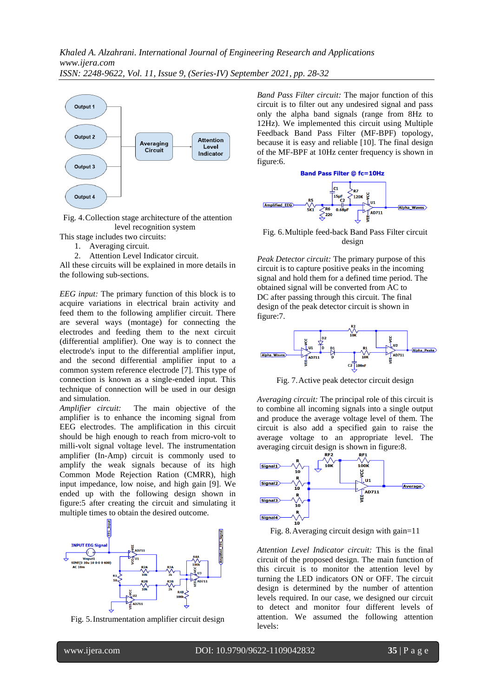

Fig. 4.Collection stage architecture of the attention level recognition system

- This stage includes two circuits:
	- 1. Averaging circuit.
	- 2. Attention Level Indicator circuit.

All these circuits will be explained in more details in the following sub-sections.

*EEG input:* The primary function of this block is to acquire variations in electrical brain activity and feed them to the following amplifier circuit. There are several ways (montage) for connecting the electrodes and feeding them to the next circuit (differential amplifier). One way is to connect the electrode's input to the differential amplifier input, and the second differential amplifier input to a common system reference electrode [7]. This type of connection is known as a single-ended input. This technique of connection will be used in our design and simulation.

*Amplifier circuit:* The main objective of the amplifier is to enhance the incoming signal from EEG electrodes. The amplification in this circuit should be high enough to reach from micro-volt to milli-volt signal voltage level. The instrumentation amplifier (In-Amp) circuit is commonly used to amplify the weak signals because of its high Common Mode Rejection Ration (CMRR), high input impedance, low noise, and high gain [9]. We ended up with the following design shown in figure:5 after creating the circuit and simulating it multiple times to obtain the desired outcome.



Fig. 5.Instrumentation amplifier circuit design

*Band Pass Filter circuit:* The major function of this circuit is to filter out any undesired signal and pass only the alpha band signals (range from 8Hz to 12Hz). We implemented this circuit using Multiple Feedback Band Pass Filter (MF-BPF) topology, because it is easy and reliable [10]. The final design of the MF-BPF at 10Hz center frequency is shown in figure:6.





Fig. 6.Multiple feed-back Band Pass Filter circuit design

*Peak Detector circuit:* The primary purpose of this circuit is to capture positive peaks in the incoming signal and hold them for a defined time period. The obtained signal will be converted from AC to DC after passing through this circuit. The final design of the peak detector circuit is shown in figure:7.



Fig. 7.Active peak detector circuit design

*Averaging circuit:* The principal role of this circuit is to combine all incoming signals into a single output and produce the average voltage level of them. The circuit is also add a specified gain to raise the average voltage to an appropriate level. The averaging circuit design is shown in figure: 8.<br> $\frac{BF_2}{B}$ 



Fig. 8.Averaging circuit design with gain=11

*Attention Level Indicator circuit:* This is the final circuit of the proposed design. The main function of this circuit is to monitor the attention level by turning the LED indicators ON or OFF. The circuit design is determined by the number of attention levels required. In our case, we designed our circuit to detect and monitor four different levels of attention. We assumed the following attention levels: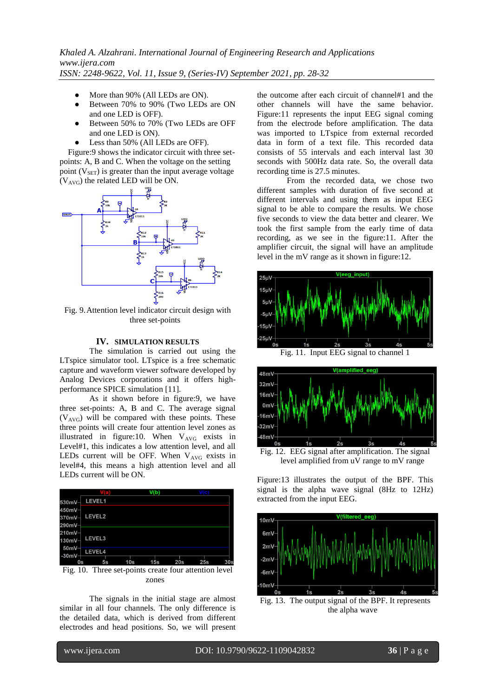- More than 90% (All LEDs are ON).
- Between 70% to 90% (Two LEDs are ON and one LED is OFF).
- Between 50% to 70% (Two LEDs are OFF and one LED is ON).
- Less than 50% (All LEDs are OFF).

 Figure:9 shows the indicator circuit with three setpoints: A, B and C. When the voltage on the setting point  $(V_{\text{SET}})$  is greater than the input average voltage  $(V<sub>AVG</sub>)$  the related LED will be ON.



Fig. 9.Attention level indicator circuit design with three set-points

## **IV. SIMULATION RESULTS**

The simulation is carried out using the LTspice simulator tool. LTspice is a free schematic capture and waveform viewer software developed by Analog Devices corporations and it offers highperformance SPICE simulation [11].

As it shown before in figure:9, we have three set-points: A, B and C. The average signal  $(V<sub>AVG</sub>)$  will be compared with these points. These three points will create four attention level zones as illustrated in figure:10. When  $V_{AVG}$  exists in Level#1, this indicates a low attention level, and all LEDs current will be OFF. When  $V_{AVG}$  exists in level#4, this means a high attention level and all LEDs current will be ON.



Fig. 10. Three set-points create four attention level zones

The signals in the initial stage are almost similar in all four channels. The only difference is the detailed data, which is derived from different electrodes and head positions. So, we will present

the outcome after each circuit of channel#1 and the other channels will have the same behavior. Figure:11 represents the input EEG signal coming from the electrode before amplification. The data was imported to LTspice from external recorded data in form of a text file. This recorded data consists of 55 intervals and each interval last 30 seconds with 500Hz data rate. So, the overall data recording time is 27.5 minutes.

From the recorded data, we chose two different samples with duration of five second at different intervals and using them as input EEG signal to be able to compare the results. We chose five seconds to view the data better and clearer. We took the first sample from the early time of data recording, as we see in the figure:11. After the amplifier circuit, the signal will have an amplitude level in the mV range as it shown in figure:12.





Fig. 12. EEG signal after amplification. The signal level amplified from uV range to mV range

Figure:13 illustrates the output of the BPF. This signal is the alpha wave signal (8Hz to 12Hz) extracted from the input EEG.



the alpha wave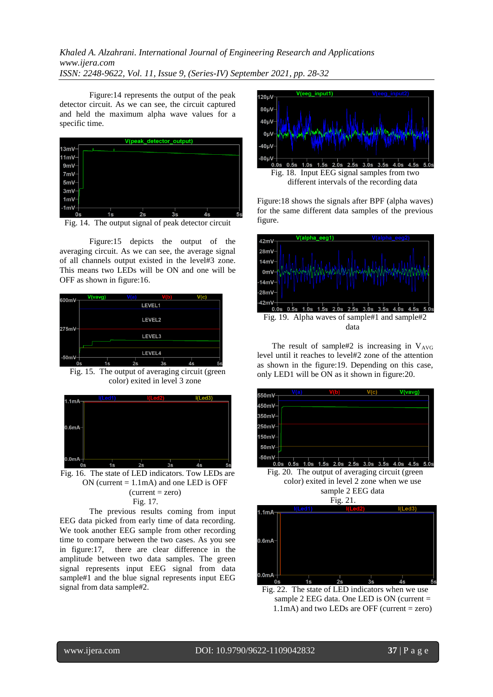# *Khaled A. Alzahrani. International Journal of Engineering Research and Applications www.ijera.com ISSN: 2248-9622, Vol. 11, Issue 9, (Series-IV) September 2021, pp. 28-32*

Figure:14 represents the output of the peak detector circuit. As we can see, the circuit captured and held the maximum alpha wave values for a specific time.



Fig. 14. The output signal of peak detector circuit

Figure:15 depicts the output of the averaging circuit. As we can see, the average signal of all channels output existed in the level#3 zone. This means two LEDs will be ON and one will be OFF as shown in figure:16.



Fig. 15. The output of averaging circuit (green color) exited in level 3 zone



Fig. 16. The state of LED indicators. Tow LEDs are ON (current  $= 1.1$ mA) and one LED is OFF  $(current = zero)$ 

Fig. 17.

The previous results coming from input EEG data picked from early time of data recording. We took another EEG sample from other recording time to compare between the two cases. As you see in figure:17, there are clear difference in the amplitude between two data samples. The green signal represents input EEG signal from data sample#1 and the blue signal represents input EEG signal from data sample#2.



Figure:18 shows the signals after BPF (alpha waves) for the same different data samples of the previous figure.



The result of sample#2 is increasing in  $V_{AVG}$ level until it reaches to level#2 zone of the attention as shown in the figure:19. Depending on this case, only LED1 will be ON as it shown in figure:20.



Fig. 20. The output of averaging circuit (green color) exited in level 2 zone when we use sample 2 EEG data



Fig. 22. The state of LED indicators when we use sample 2 EEG data. One LED is ON (current = 1.1mA) and two LEDs are OFF (current = zero)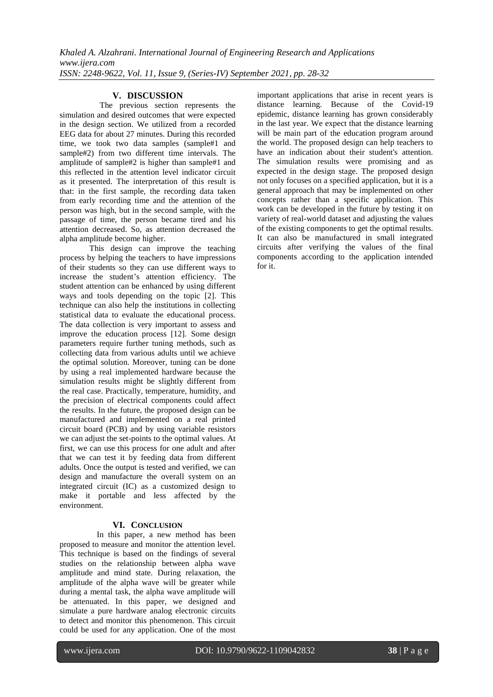## **V. DISCUSSION**

 The previous section represents the simulation and desired outcomes that were expected in the design section. We utilized from a recorded EEG data for about 27 minutes. During this recorded time, we took two data samples (sample#1 and sample#2) from two different time intervals. The amplitude of sample#2 is higher than sample#1 and this reflected in the attention level indicator circuit as it presented. The interpretation of this result is that: in the first sample, the recording data taken from early recording time and the attention of the person was high, but in the second sample, with the passage of time, the person became tired and his attention decreased. So, as attention decreased the alpha amplitude become higher.

This design can improve the teaching process by helping the teachers to have impressions of their students so they can use different ways to increase the student's attention efficiency. The student attention can be enhanced by using different ways and tools depending on the topic [2]. This technique can also help the institutions in collecting statistical data to evaluate the educational process. The data collection is very important to assess and improve the education process [12]. Some design parameters require further tuning methods, such as collecting data from various adults until we achieve the optimal solution. Moreover, tuning can be done by using a real implemented hardware because the simulation results might be slightly different from the real case. Practically, temperature, humidity, and the precision of electrical components could affect the results. In the future, the proposed design can be manufactured and implemented on a real printed circuit board (PCB) and by using variable resistors we can adjust the set-points to the optimal values. At first, we can use this process for one adult and after that we can test it by feeding data from different adults. Once the output is tested and verified, we can design and manufacture the overall system on an integrated circuit (IC) as a customized design to make it portable and less affected by the environment.

#### **VI. CONCLUSION**

 In this paper, a new method has been proposed to measure and monitor the attention level. This technique is based on the findings of several studies on the relationship between alpha wave amplitude and mind state. During relaxation, the amplitude of the alpha wave will be greater while during a mental task, the alpha wave amplitude will be attenuated. In this paper, we designed and simulate a pure hardware analog electronic circuits to detect and monitor this phenomenon. This circuit could be used for any application. One of the most

important applications that arise in recent years is distance learning. Because of the Covid-19 epidemic, distance learning has grown considerably in the last year. We expect that the distance learning will be main part of the education program around the world. The proposed design can help teachers to have an indication about their student's attention. The simulation results were promising and as expected in the design stage. The proposed design not only focuses on a specified application, but it is a general approach that may be implemented on other concepts rather than a specific application. This work can be developed in the future by testing it on variety of real-world dataset and adjusting the values of the existing components to get the optimal results. It can also be manufactured in small integrated circuits after verifying the values of the final components according to the application intended for it.